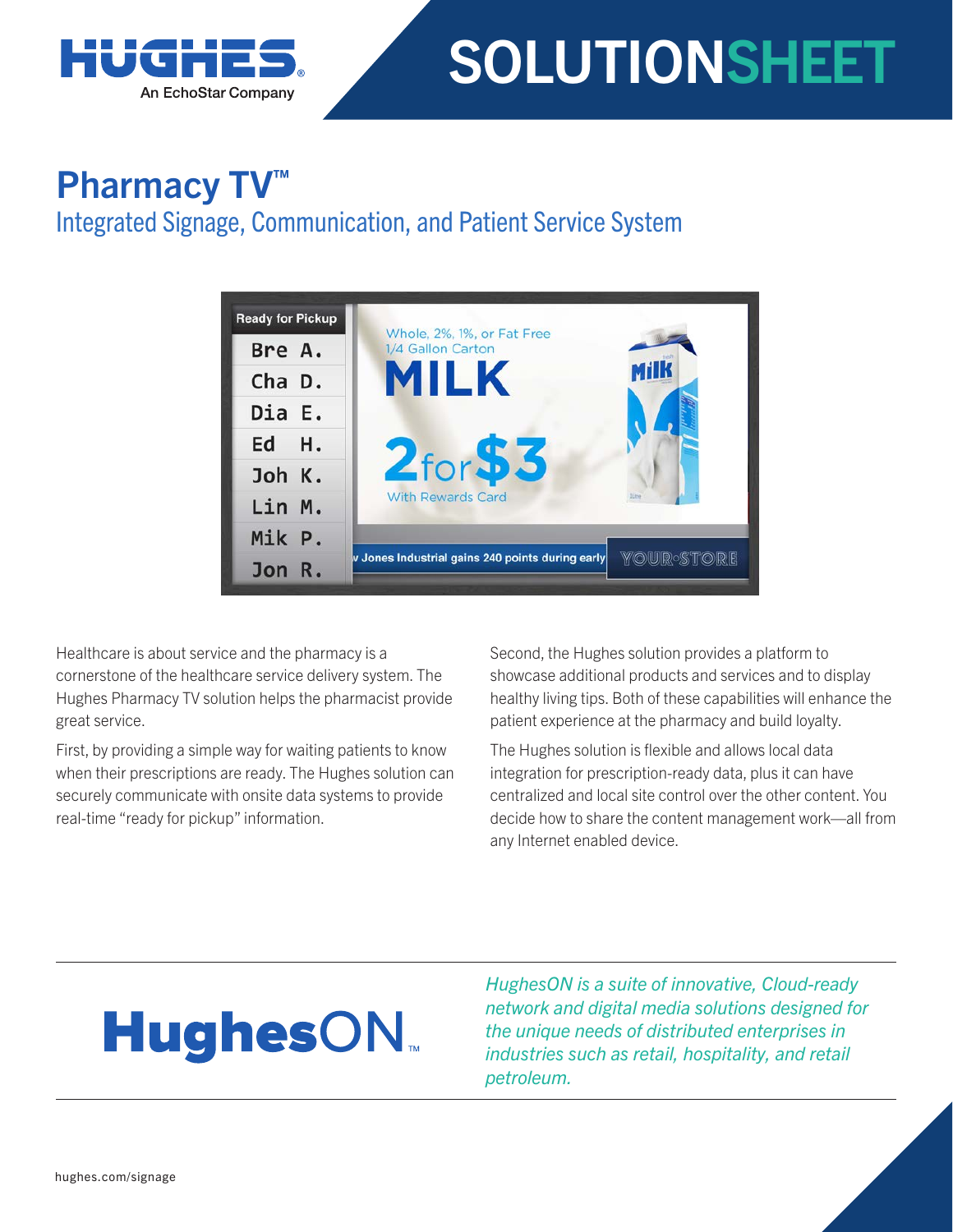

# SOLUTIONSHEET

### Pharmacy TV<sup>™</sup>

### Integrated Signage, Communication, and Patient Service System



Healthcare is about service and the pharmacy is a cornerstone of the healthcare service delivery system. The Hughes Pharmacy TV solution helps the pharmacist provide great service.

First, by providing a simple way for waiting patients to know when their prescriptions are ready. The Hughes solution can securely communicate with onsite data systems to provide real-time "ready for pickup" information.

Second, the Hughes solution provides a platform to showcase additional products and services and to display healthy living tips. Both of these capabilities will enhance the patient experience at the pharmacy and build loyalty.

The Hughes solution is flexible and allows local data integration for prescription-ready data, plus it can have centralized and local site control over the other content. You decide how to share the content management work—all from any Internet enabled device.

## **HughesON**

*HughesON is a suite of innovative, Cloud-ready network and digital media solutions designed for the unique needs of distributed enterprises in industries such as retail, hospitality, and retail petroleum.*